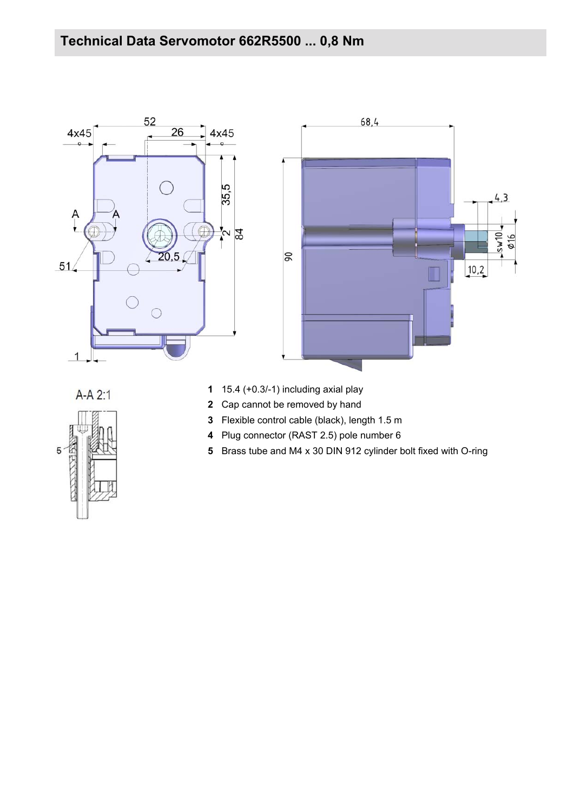



 $A-A2:1$ 

- 15.4 (+0.3/-1) including axial play
- Cap cannot be removed by hand
- Flexible control cable (black), length 1.5 m
- Plug connector (RAST 2.5) pole number 6
- Brass tube and M4 x 30 DIN 912 cylinder bolt fixed with O-ring

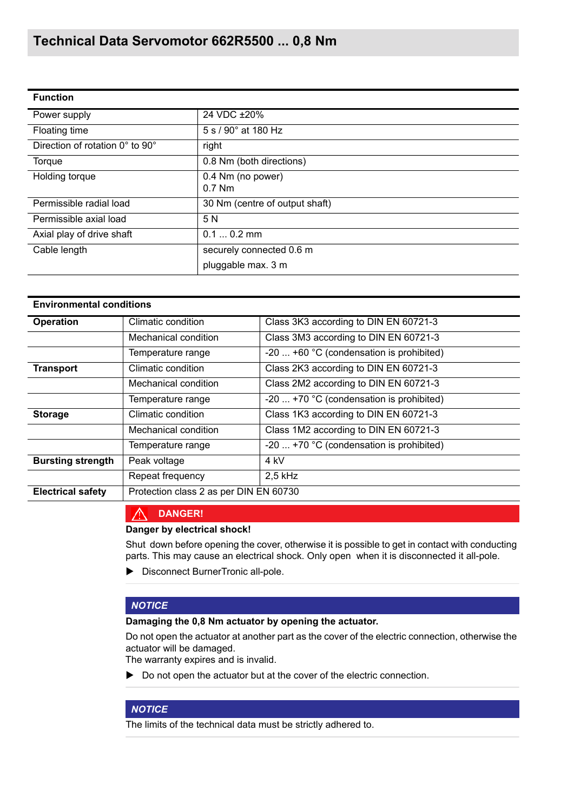| <b>Function</b>                 |                                |  |
|---------------------------------|--------------------------------|--|
| Power supply                    | 24 VDC ±20%                    |  |
| Floating time                   | $5 s / 90^{\circ}$ at 180 Hz   |  |
| Direction of rotation 0° to 90° | right                          |  |
| Torque                          | 0.8 Nm (both directions)       |  |
| Holding torque                  | 0.4 Nm (no power)<br>$0.7$ Nm  |  |
| Permissible radial load         | 30 Nm (centre of output shaft) |  |
| Permissible axial load          | 5 N                            |  |
| Axial play of drive shaft       | $0.10.2$ mm                    |  |
| Cable length                    | securely connected 0.6 m       |  |
|                                 | pluggable max. 3 m             |  |

| <b>Operation</b>         | Climatic condition                     | Class 3K3 according to DIN EN 60721-3           |
|--------------------------|----------------------------------------|-------------------------------------------------|
|                          | Mechanical condition                   | Class 3M3 according to DIN EN 60721-3           |
|                          | Temperature range                      | -20  +60 °C (condensation is prohibited)        |
| <b>Transport</b>         | Climatic condition                     | Class 2K3 according to DIN EN 60721-3           |
|                          | Mechanical condition                   | Class 2M2 according to DIN EN 60721-3           |
|                          | Temperature range                      | -20 $\dots$ +70 °C (condensation is prohibited) |
| <b>Storage</b>           | Climatic condition                     | Class 1K3 according to DIN EN 60721-3           |
|                          | Mechanical condition                   | Class 1M2 according to DIN EN 60721-3           |
|                          | Temperature range                      | -20 $\dots$ +70 °C (condensation is prohibited) |
| <b>Bursting strength</b> | Peak voltage                           | 4 kV                                            |
|                          | Repeat frequency                       | $2.5$ kHz                                       |
| <b>Electrical safety</b> | Protection class 2 as per DIN EN 60730 |                                                 |

#### ∧ **DANGER!**

#### **Danger by electrical shock!**

Shut down before opening the cover, otherwise it is possible to get in contact with conducting parts. This may cause an electrical shock. Only open when it is disconnected it all-pole.

**Disconnect BurnerTronic all-pole.** 

### *NOTICE*

#### **Damaging the 0,8 Nm actuator by opening the actuator.**

Do not open the actuator at another part as the cover of the electric connection, otherwise the actuator will be damaged.

The warranty expires and is invalid.

Do not open the actuator but at the cover of the electric connection.

## *NOTICE*

The limits of the technical data must be strictly adhered to.